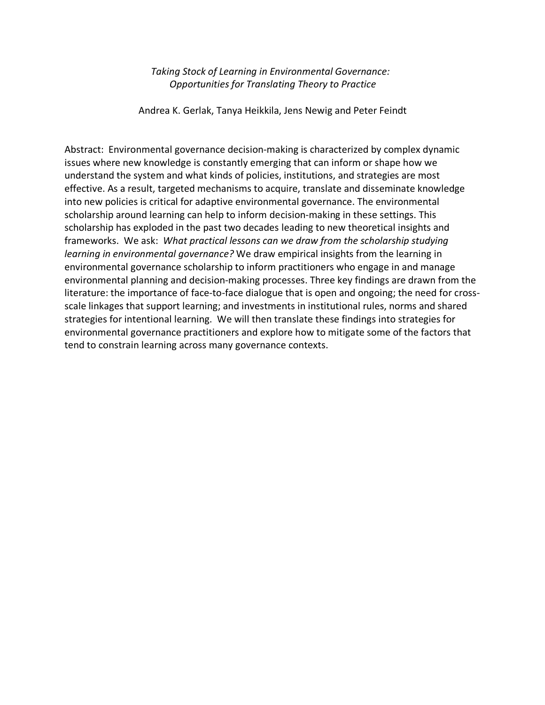#### *Taking Stock of Learning in Environmental Governance: Opportunities for Translating Theory to Practice*

Andrea K. Gerlak, Tanya Heikkila, Jens Newig and Peter Feindt

Abstract: Environmental governance decision-making is characterized by complex dynamic issues where new knowledge is constantly emerging that can inform or shape how we understand the system and what kinds of policies, institutions, and strategies are most effective. As a result, targeted mechanisms to acquire, translate and disseminate knowledge into new policies is critical for adaptive environmental governance. The environmental scholarship around learning can help to inform decision-making in these settings. This scholarship has exploded in the past two decades leading to new theoretical insights and frameworks. We ask: *What practical lessons can we draw from the scholarship studying learning in environmental governance?* We draw empirical insights from the learning in environmental governance scholarship to inform practitioners who engage in and manage environmental planning and decision-making processes. Three key findings are drawn from the literature: the importance of face-to-face dialogue that is open and ongoing; the need for crossscale linkages that support learning; and investments in institutional rules, norms and shared strategies for intentional learning. We will then translate these findings into strategies for environmental governance practitioners and explore how to mitigate some of the factors that tend to constrain learning across many governance contexts.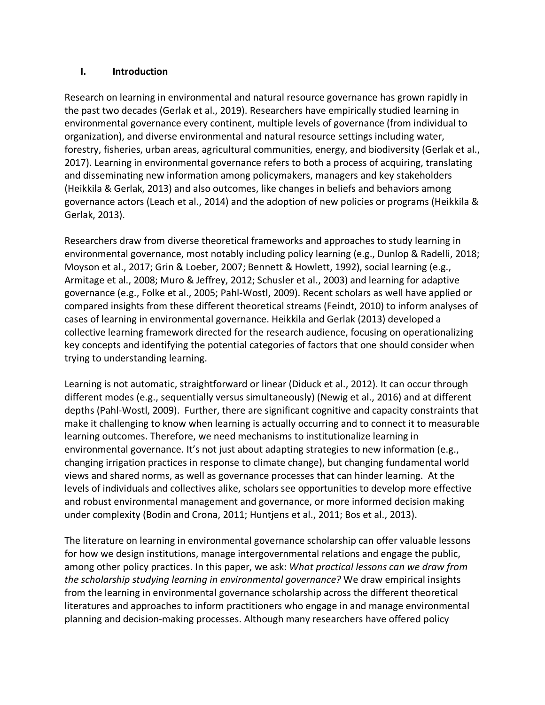# **I. Introduction**

Research on learning in environmental and natural resource governance has grown rapidly in the past two decades (Gerlak et al., 2019). Researchers have empirically studied learning in environmental governance every continent, multiple levels of governance (from individual to organization), and diverse environmental and natural resource settings including water, forestry, fisheries, urban areas, agricultural communities, energy, and biodiversity (Gerlak et al., 2017). Learning in environmental governance refers to both a process of acquiring, translating and disseminating new information among policymakers, managers and key stakeholders (Heikkila & Gerlak, 2013) and also outcomes, like changes in beliefs and behaviors among governance actors (Leach et al., 2014) and the adoption of new policies or programs (Heikkila & Gerlak, 2013).

Researchers draw from diverse theoretical frameworks and approaches to study learning in environmental governance, most notably including policy learning (e.g., Dunlop & Radelli, 2018; Moyson et al., 2017; Grin & Loeber, 2007; Bennett & Howlett, 1992), social learning (e.g., Armitage et al., 2008; Muro & Jeffrey, 2012; Schusler et al., 2003) and learning for adaptive governance (e.g., Folke et al., 2005; Pahl-Wostl, 2009). Recent scholars as well have applied or compared insights from these different theoretical streams (Feindt, 2010) to inform analyses of cases of learning in environmental governance. Heikkila and Gerlak (2013) developed a collective learning framework directed for the research audience, focusing on operationalizing key concepts and identifying the potential categories of factors that one should consider when trying to understanding learning.

Learning is not automatic, straightforward or linear (Diduck et al., 2012). It can occur through different modes (e.g., sequentially versus simultaneously) (Newig et al., 2016) and at different depths (Pahl-Wostl, 2009). Further, there are significant cognitive and capacity constraints that make it challenging to know when learning is actually occurring and to connect it to measurable learning outcomes. Therefore, we need mechanisms to institutionalize learning in environmental governance. It's not just about adapting strategies to new information (e.g., changing irrigation practices in response to climate change), but changing fundamental world views and shared norms, as well as governance processes that can hinder learning. At the levels of individuals and collectives alike, scholars see opportunities to develop more effective and robust environmental management and governance, or more informed decision making under complexity (Bodin and Crona, 2011; Huntjens et al., 2011; Bos et al., 2013).

The literature on learning in environmental governance scholarship can offer valuable lessons for how we design institutions, manage intergovernmental relations and engage the public, among other policy practices. In this paper, we ask: *What practical lessons can we draw from the scholarship studying learning in environmental governance?* We draw empirical insights from the learning in environmental governance scholarship across the different theoretical literatures and approaches to inform practitioners who engage in and manage environmental planning and decision-making processes. Although many researchers have offered policy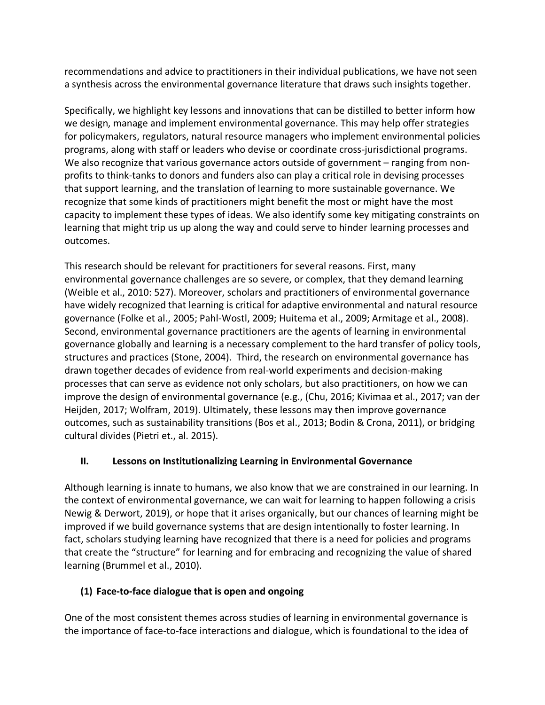recommendations and advice to practitioners in their individual publications, we have not seen a synthesis across the environmental governance literature that draws such insights together.

Specifically, we highlight key lessons and innovations that can be distilled to better inform how we design, manage and implement environmental governance. This may help offer strategies for policymakers, regulators, natural resource managers who implement environmental policies programs, along with staff or leaders who devise or coordinate cross-jurisdictional programs. We also recognize that various governance actors outside of government – ranging from nonprofits to think-tanks to donors and funders also can play a critical role in devising processes that support learning, and the translation of learning to more sustainable governance. We recognize that some kinds of practitioners might benefit the most or might have the most capacity to implement these types of ideas. We also identify some key mitigating constraints on learning that might trip us up along the way and could serve to hinder learning processes and outcomes.

This research should be relevant for practitioners for several reasons. First, many environmental governance challenges are so severe, or complex, that they demand learning (Weible et al., 2010: 527). Moreover, scholars and practitioners of environmental governance have widely recognized that learning is critical for adaptive environmental and natural resource governance (Folke et al., 2005; Pahl-Wostl, 2009; Huitema et al., 2009; Armitage et al., 2008). Second, environmental governance practitioners are the agents of learning in environmental governance globally and learning is a necessary complement to the hard transfer of policy tools, structures and practices (Stone, 2004). Third, the research on environmental governance has drawn together decades of evidence from real-world experiments and decision-making processes that can serve as evidence not only scholars, but also practitioners, on how we can improve the design of environmental governance (e.g., (Chu, 2016; Kivimaa et al., 2017; van der Heijden, 2017; Wolfram, 2019). Ultimately, these lessons may then improve governance outcomes, such as sustainability transitions (Bos et al., 2013; Bodin & Crona, 2011), or bridging cultural divides (Pietri et., al. 2015).

# **II. Lessons on Institutionalizing Learning in Environmental Governance**

Although learning is innate to humans, we also know that we are constrained in our learning. In the context of environmental governance, we can wait for learning to happen following a crisis Newig & Derwort, 2019), or hope that it arises organically, but our chances of learning might be improved if we build governance systems that are design intentionally to foster learning. In fact, scholars studying learning have recognized that there is a need for policies and programs that create the "structure" for learning and for embracing and recognizing the value of shared learning (Brummel et al., 2010).

# **(1) Face-to-face dialogue that is open and ongoing**

One of the most consistent themes across studies of learning in environmental governance is the importance of face-to-face interactions and dialogue, which is foundational to the idea of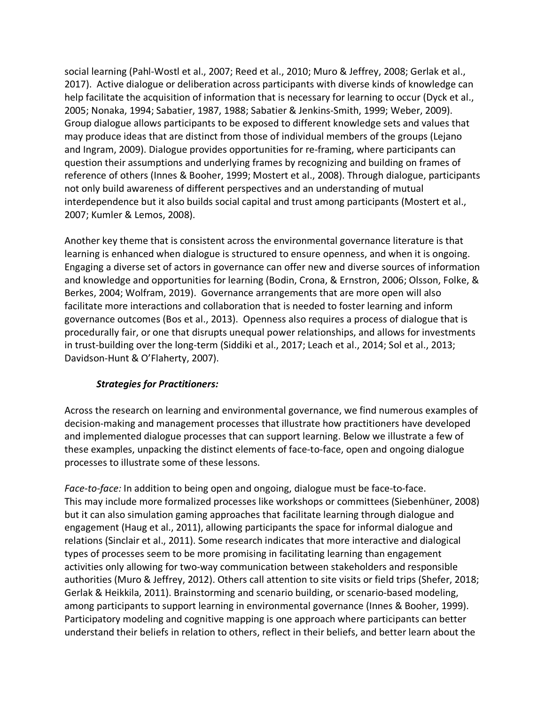social learning (Pahl-Wostl et al., 2007; Reed et al., 2010; Muro & Jeffrey, 2008; Gerlak et al., 2017). Active dialogue or deliberation across participants with diverse kinds of knowledge can help facilitate the acquisition of information that is necessary for learning to occur (Dyck et al., 2005; Nonaka, 1994; Sabatier, 1987, 1988; Sabatier & Jenkins-Smith, 1999; Weber, 2009). Group dialogue allows participants to be exposed to different knowledge sets and values that may produce ideas that are distinct from those of individual members of the groups (Lejano and Ingram, 2009). Dialogue provides opportunities for re-framing, where participants can question their assumptions and underlying frames by recognizing and building on frames of reference of others (Innes & Booher, 1999; Mostert et al., 2008). Through dialogue, participants not only build awareness of different perspectives and an understanding of mutual interdependence but it also builds social capital and trust among participants (Mostert et al., 2007; Kumler & Lemos, 2008).

Another key theme that is consistent across the environmental governance literature is that learning is enhanced when dialogue is structured to ensure openness, and when it is ongoing. Engaging a diverse set of actors in governance can offer new and diverse sources of information and knowledge and opportunities for learning (Bodin, Crona, & Ernstron, 2006; Olsson, Folke, & Berkes, 2004; Wolfram, 2019). Governance arrangements that are more open will also facilitate more interactions and collaboration that is needed to foster learning and inform governance outcomes (Bos et al., 2013). Openness also requires a process of dialogue that is procedurally fair, or one that disrupts unequal power relationships, and allows for investments in trust-building over the long-term (Siddiki et al., 2017; Leach et al., 2014; Sol et al., 2013; Davidson-Hunt & O'Flaherty, 2007).

# *Strategies for Practitioners:*

Across the research on learning and environmental governance, we find numerous examples of decision-making and management processes that illustrate how practitioners have developed and implemented dialogue processes that can support learning. Below we illustrate a few of these examples, unpacking the distinct elements of face-to-face, open and ongoing dialogue processes to illustrate some of these lessons.

*Face-to-face:* In addition to being open and ongoing, dialogue must be face-to-face. This may include more formalized processes like workshops or committees (Siebenhüner, 2008) but it can also simulation gaming approaches that facilitate learning through dialogue and engagement (Haug et al., 2011), allowing participants the space for informal dialogue and relations (Sinclair et al., 2011). Some research indicates that more interactive and dialogical types of processes seem to be more promising in facilitating learning than engagement activities only allowing for two-way communication between stakeholders and responsible authorities (Muro & Jeffrey, 2012). Others call attention to site visits or field trips (Shefer, 2018; Gerlak & Heikkila, 2011). Brainstorming and scenario building, or scenario-based modeling, among participants to support learning in environmental governance (Innes & Booher, 1999). Participatory modeling and cognitive mapping is one approach where participants can better understand their beliefs in relation to others, reflect in their beliefs, and better learn about the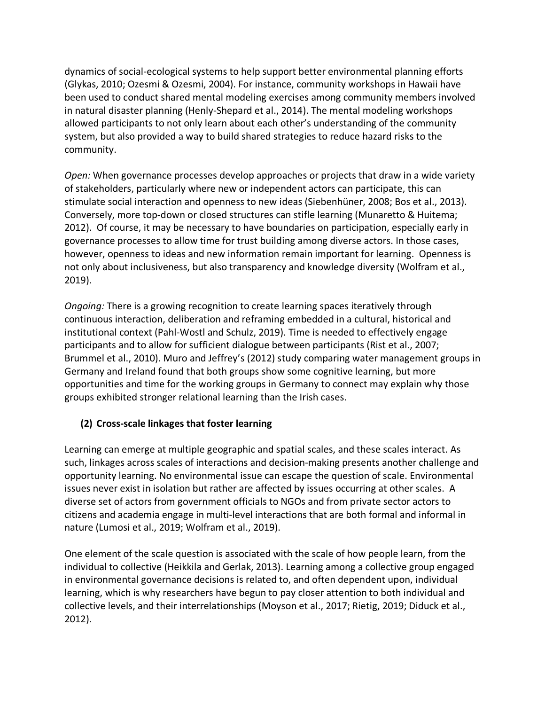dynamics of social-ecological systems to help support better environmental planning efforts (Glykas, 2010; Ozesmi & Ozesmi, 2004). For instance, community workshops in Hawaii have been used to conduct shared mental modeling exercises among community members involved in natural disaster planning (Henly-Shepard et al., 2014). The mental modeling workshops allowed participants to not only learn about each other's understanding of the community system, but also provided a way to build shared strategies to reduce hazard risks to the community.

*Open:* When governance processes develop approaches or projects that draw in a wide variety of stakeholders, particularly where new or independent actors can participate, this can stimulate social interaction and openness to new ideas (Siebenhüner, 2008; Bos et al., 2013). Conversely, more top-down or closed structures can stifle learning (Munaretto & Huitema; 2012). Of course, it may be necessary to have boundaries on participation, especially early in governance processes to allow time for trust building among diverse actors. In those cases, however, openness to ideas and new information remain important for learning. Openness is not only about inclusiveness, but also transparency and knowledge diversity (Wolfram et al., 2019).

*Ongoing:* There is a growing recognition to create learning spaces iteratively through continuous interaction, deliberation and reframing embedded in a cultural, historical and institutional context (Pahl-Wostl and Schulz, 2019). Time is needed to effectively engage participants and to allow for sufficient dialogue between participants (Rist et al., 2007; Brummel et al., 2010). Muro and Jeffrey's (2012) study comparing water management groups in Germany and Ireland found that both groups show some cognitive learning, but more opportunities and time for the working groups in Germany to connect may explain why those groups exhibited stronger relational learning than the Irish cases.

# **(2) Cross-scale linkages that foster learning**

Learning can emerge at multiple geographic and spatial scales, and these scales interact. As such, linkages across scales of interactions and decision-making presents another challenge and opportunity learning. No environmental issue can escape the question of scale. Environmental issues never exist in isolation but rather are affected by issues occurring at other scales. A diverse set of actors from government officials to NGOs and from private sector actors to citizens and academia engage in multi-level interactions that are both formal and informal in nature (Lumosi et al., 2019; Wolfram et al., 2019).

One element of the scale question is associated with the scale of how people learn, from the individual to collective (Heikkila and Gerlak, 2013). Learning among a collective group engaged in environmental governance decisions is related to, and often dependent upon, individual learning, which is why researchers have begun to pay closer attention to both individual and collective levels, and their interrelationships (Moyson et al., 2017; Rietig, 2019; Diduck et al., 2012).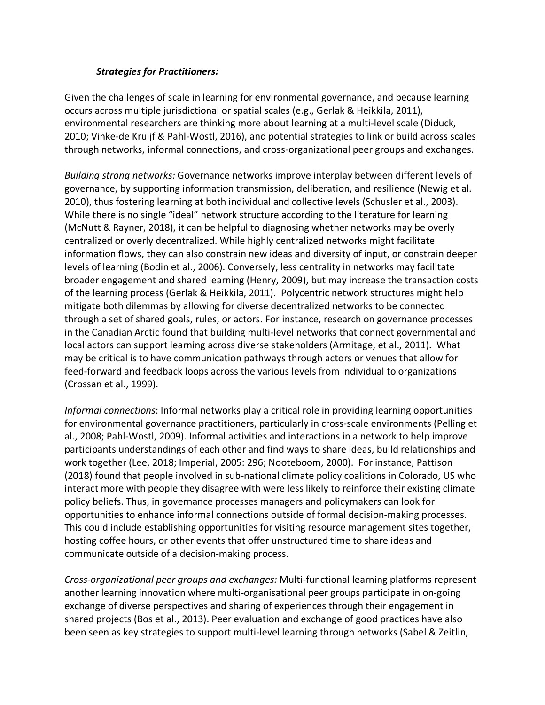# *Strategies for Practitioners:*

Given the challenges of scale in learning for environmental governance, and because learning occurs across multiple jurisdictional or spatial scales (e.g., Gerlak & Heikkila, 2011), environmental researchers are thinking more about learning at a multi-level scale (Diduck, 2010; Vinke-de Kruijf & Pahl-Wostl, 2016), and potential strategies to link or build across scales through networks, informal connections, and cross-organizational peer groups and exchanges.

*Building strong networks:* Governance networks improve interplay between different levels of governance, by supporting information transmission, deliberation, and resilience (Newig et al. 2010), thus fostering learning at both individual and collective levels (Schusler et al., 2003). While there is no single "ideal" network structure according to the literature for learning (McNutt & Rayner, 2018), it can be helpful to diagnosing whether networks may be overly centralized or overly decentralized. While highly centralized networks might facilitate information flows, they can also constrain new ideas and diversity of input, or constrain deeper levels of learning (Bodin et al., 2006). Conversely, less centrality in networks may facilitate broader engagement and shared learning (Henry, 2009), but may increase the transaction costs of the learning process (Gerlak & Heikkila, 2011). Polycentric network structures might help mitigate both dilemmas by allowing for diverse decentralized networks to be connected through a set of shared goals, rules, or actors. For instance, research on governance processes in the Canadian Arctic found that building multi-level networks that connect governmental and local actors can support learning across diverse stakeholders (Armitage, et al., 2011). What may be critical is to have communication pathways through actors or venues that allow for feed-forward and feedback loops across the various levels from individual to organizations (Crossan et al., 1999).

*Informal connections*: Informal networks play a critical role in providing learning opportunities for environmental governance practitioners, particularly in cross-scale environments (Pelling et al., 2008; Pahl-Wostl, 2009). Informal activities and interactions in a network to help improve participants understandings of each other and find ways to share ideas, build relationships and work together (Lee, 2018; Imperial, 2005: 296; Nooteboom, 2000). For instance, Pattison (2018) found that people involved in sub-national climate policy coalitions in Colorado, US who interact more with people they disagree with were less likely to reinforce their existing climate policy beliefs. Thus, in governance processes managers and policymakers can look for opportunities to enhance informal connections outside of formal decision-making processes. This could include establishing opportunities for visiting resource management sites together, hosting coffee hours, or other events that offer unstructured time to share ideas and communicate outside of a decision-making process.

*Cross-organizational peer groups and exchanges:* Multi-functional learning platforms represent another learning innovation where multi-organisational peer groups participate in on-going exchange of diverse perspectives and sharing of experiences through their engagement in shared projects (Bos et al., 2013). Peer evaluation and exchange of good practices have also been seen as key strategies to support multi-level learning through networks (Sabel & Zeitlin,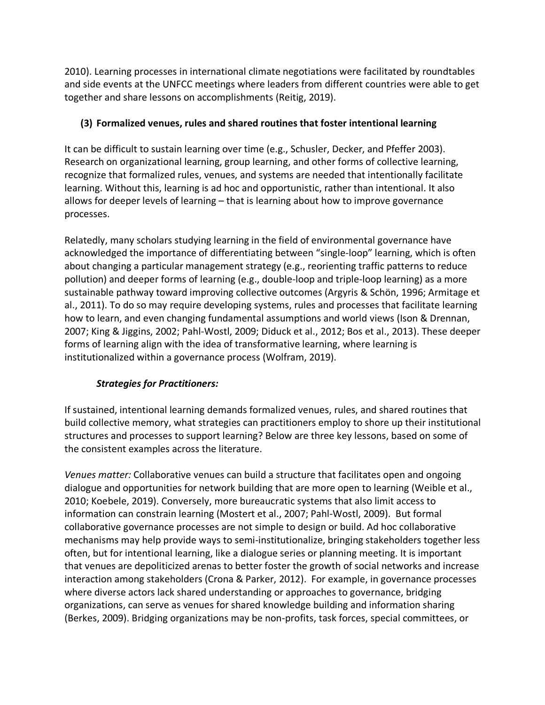2010). Learning processes in international climate negotiations were facilitated by roundtables and side events at the UNFCC meetings where leaders from different countries were able to get together and share lessons on accomplishments (Reitig, 2019).

# **(3) Formalized venues, rules and shared routines that foster intentional learning**

It can be difficult to sustain learning over time (e.g., Schusler, Decker, and Pfeffer 2003). Research on organizational learning, group learning, and other forms of collective learning, recognize that formalized rules, venues, and systems are needed that intentionally facilitate learning. Without this, learning is ad hoc and opportunistic, rather than intentional. It also allows for deeper levels of learning – that is learning about how to improve governance processes.

Relatedly, many scholars studying learning in the field of environmental governance have acknowledged the importance of differentiating between "single-loop" learning, which is often about changing a particular management strategy (e.g., reorienting traffic patterns to reduce pollution) and deeper forms of learning (e.g., double-loop and triple-loop learning) as a more sustainable pathway toward improving collective outcomes (Argyris & Schön, 1996; Armitage et al., 2011). To do so may require developing systems, rules and processes that facilitate learning how to learn, and even changing fundamental assumptions and world views (Ison & Drennan, 2007; King & Jiggins, 2002; Pahl-Wostl, 2009; Diduck et al., 2012; Bos et al., 2013). These deeper forms of learning align with the idea of transformative learning, where learning is institutionalized within a governance process (Wolfram, 2019).

# *Strategies for Practitioners:*

If sustained, intentional learning demands formalized venues, rules, and shared routines that build collective memory, what strategies can practitioners employ to shore up their institutional structures and processes to support learning? Below are three key lessons, based on some of the consistent examples across the literature.

*Venues matter:* Collaborative venues can build a structure that facilitates open and ongoing dialogue and opportunities for network building that are more open to learning (Weible et al., 2010; Koebele, 2019). Conversely, more bureaucratic systems that also limit access to information can constrain learning (Mostert et al., 2007; Pahl-Wostl, 2009). But formal collaborative governance processes are not simple to design or build. Ad hoc collaborative mechanisms may help provide ways to semi-institutionalize, bringing stakeholders together less often, but for intentional learning, like a dialogue series or planning meeting. It is important that venues are depoliticized arenas to better foster the growth of social networks and increase interaction among stakeholders (Crona & Parker, 2012). For example, in governance processes where diverse actors lack shared understanding or approaches to governance, bridging organizations, can serve as venues for shared knowledge building and information sharing (Berkes, 2009). Bridging organizations may be non-profits, task forces, special committees, or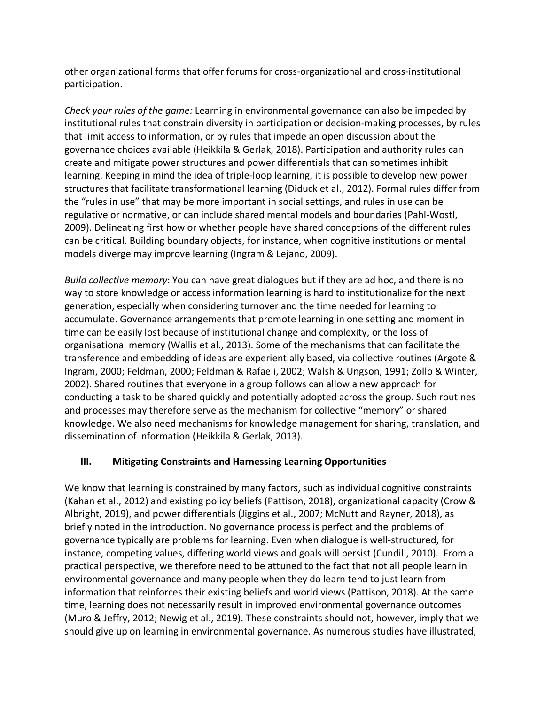other organizational forms that offer forums for cross-organizational and cross-institutional participation.

*Check your rules of the game:* Learning in environmental governance can also be impeded by institutional rules that constrain diversity in participation or decision-making processes, by rules that limit access to information, or by rules that impede an open discussion about the governance choices available (Heikkila & Gerlak, 2018). Participation and authority rules can create and mitigate power structures and power differentials that can sometimes inhibit learning. Keeping in mind the idea of triple-loop learning, it is possible to develop new power structures that facilitate transformational learning (Diduck et al., 2012). Formal rules differ from the "rules in use" that may be more important in social settings, and rules in use can be regulative or normative, or can include shared mental models and boundaries (Pahl-Wostl, 2009). Delineating first how or whether people have shared conceptions of the different rules can be critical. Building boundary objects, for instance, when cognitive institutions or mental models diverge may improve learning (Ingram & Lejano, 2009).

*Build collective memory*: You can have great dialogues but if they are ad hoc, and there is no way to store knowledge or access information learning is hard to institutionalize for the next generation, especially when considering turnover and the time needed for learning to accumulate. Governance arrangements that promote learning in one setting and moment in time can be easily lost because of institutional change and complexity, or the loss of organisational memory (Wallis et al., 2013). Some of the mechanisms that can facilitate the transference and embedding of ideas are experientially based, via collective routines (Argote & Ingram, 2000; Feldman, 2000; Feldman & Rafaeli, 2002; Walsh & Ungson, 1991; Zollo & Winter, 2002). Shared routines that everyone in a group follows can allow a new approach for conducting a task to be shared quickly and potentially adopted across the group. Such routines and processes may therefore serve as the mechanism for collective "memory" or shared knowledge. We also need mechanisms for knowledge management for sharing, translation, and dissemination of information (Heikkila & Gerlak, 2013).

# **III. Mitigating Constraints and Harnessing Learning Opportunities**

We know that learning is constrained by many factors, such as individual cognitive constraints (Kahan et al., 2012) and existing policy beliefs (Pattison, 2018), organizational capacity (Crow & Albright, 2019), and power differentials (Jiggins et al., 2007; McNutt and Rayner, 2018), as briefly noted in the introduction. No governance process is perfect and the problems of governance typically are problems for learning. Even when dialogue is well-structured, for instance, competing values, differing world views and goals will persist (Cundill, 2010). From a practical perspective, we therefore need to be attuned to the fact that not all people learn in environmental governance and many people when they do learn tend to just learn from information that reinforces their existing beliefs and world views (Pattison, 2018). At the same time, learning does not necessarily result in improved environmental governance outcomes (Muro & Jeffry, 2012; Newig et al., 2019). These constraints should not, however, imply that we should give up on learning in environmental governance. As numerous studies have illustrated,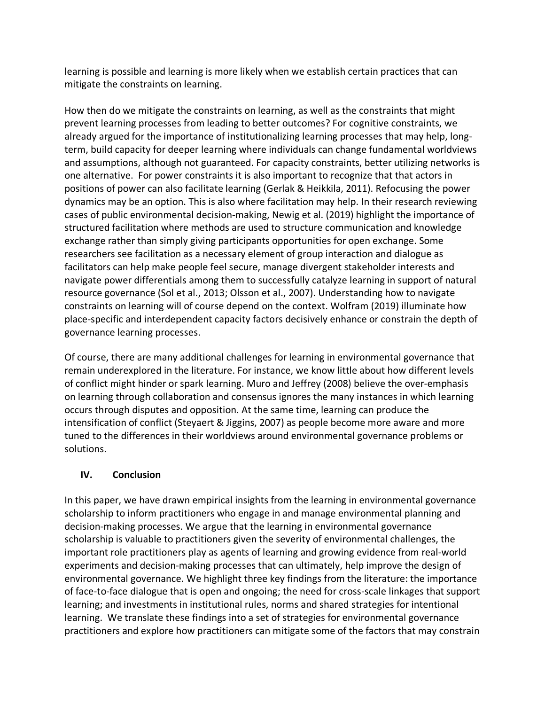learning is possible and learning is more likely when we establish certain practices that can mitigate the constraints on learning.

How then do we mitigate the constraints on learning, as well as the constraints that might prevent learning processes from leading to better outcomes? For cognitive constraints, we already argued for the importance of institutionalizing learning processes that may help, longterm, build capacity for deeper learning where individuals can change fundamental worldviews and assumptions, although not guaranteed. For capacity constraints, better utilizing networks is one alternative. For power constraints it is also important to recognize that that actors in positions of power can also facilitate learning (Gerlak & Heikkila, 2011). Refocusing the power dynamics may be an option. This is also where facilitation may help. In their research reviewing cases of public environmental decision-making, Newig et al. (2019) highlight the importance of structured facilitation where methods are used to structure communication and knowledge exchange rather than simply giving participants opportunities for open exchange. Some researchers see facilitation as a necessary element of group interaction and dialogue as facilitators can help make people feel secure, manage divergent stakeholder interests and navigate power differentials among them to successfully catalyze learning in support of natural resource governance (Sol et al., 2013; Olsson et al., 2007). Understanding how to navigate constraints on learning will of course depend on the context. Wolfram (2019) illuminate how place-specific and interdependent capacity factors decisively enhance or constrain the depth of governance learning processes.

Of course, there are many additional challenges for learning in environmental governance that remain underexplored in the literature. For instance, we know little about how different levels of conflict might hinder or spark learning. Muro and Jeffrey (2008) believe the over-emphasis on learning through collaboration and consensus ignores the many instances in which learning occurs through disputes and opposition. At the same time, learning can produce the intensification of conflict (Steyaert & Jiggins, 2007) as people become more aware and more tuned to the differences in their worldviews around environmental governance problems or solutions.

# **IV. Conclusion**

In this paper, we have drawn empirical insights from the learning in environmental governance scholarship to inform practitioners who engage in and manage environmental planning and decision-making processes. We argue that the learning in environmental governance scholarship is valuable to practitioners given the severity of environmental challenges, the important role practitioners play as agents of learning and growing evidence from real-world experiments and decision-making processes that can ultimately, help improve the design of environmental governance. We highlight three key findings from the literature: the importance of face-to-face dialogue that is open and ongoing; the need for cross-scale linkages that support learning; and investments in institutional rules, norms and shared strategies for intentional learning. We translate these findings into a set of strategies for environmental governance practitioners and explore how practitioners can mitigate some of the factors that may constrain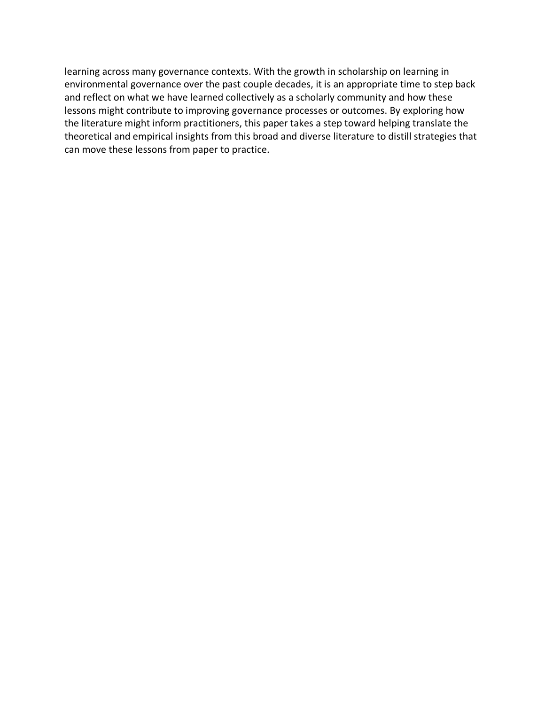learning across many governance contexts. With the growth in scholarship on learning in environmental governance over the past couple decades, it is an appropriate time to step back and reflect on what we have learned collectively as a scholarly community and how these lessons might contribute to improving governance processes or outcomes. By exploring how the literature might inform practitioners, this paper takes a step toward helping translate the theoretical and empirical insights from this broad and diverse literature to distill strategies that can move these lessons from paper to practice.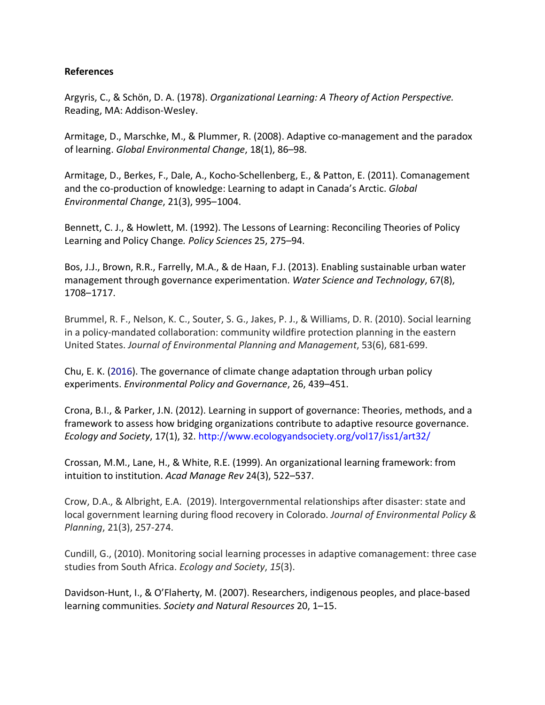#### **References**

Argyris, C., & Schön, D. A. (1978). *Organizational Learning: A Theory of Action Perspective.* Reading, MA: Addison-Wesley.

Armitage, D., Marschke, M., & Plummer, R. (2008). Adaptive co-management and the paradox of learning. *Global Environmental Change*, 18(1), 86–98.

Armitage, D., Berkes, F., Dale, A., Kocho-Schellenberg, E., & Patton, E. (2011). Comanagement and the co-production of knowledge: Learning to adapt in Canada's Arctic. *Global Environmental Change*, 21(3), 995–1004.

Bennett, C. J., & Howlett, M. (1992). The Lessons of Learning: Reconciling Theories of Policy Learning and Policy Change*. Policy Sciences* 25, 275–94.

Bos, J.J., Brown, R.R., Farrelly, M.A., & de Haan, F.J. (2013). Enabling sustainable urban water management through governance experimentation. *Water Science and Technology*, 67(8), 1708–1717.

Brummel, R. F., Nelson, K. C., Souter, S. G., Jakes, P. J., & Williams, D. R. (2010). Social learning in a policy-mandated collaboration: community wildfire protection planning in the eastern United States. *Journal of Environmental Planning and Management*, 53(6), 681-699.

Chu, E. K. (2016). The governance of climate change adaptation through urban policy experiments. *Environmental Policy and Governance*, 26, 439–451.

Crona, B.I., & Parker, J.N. (2012). Learning in support of governance: Theories, methods, and a framework to assess how bridging organizations contribute to adaptive resource governance. *Ecology and Society*, 17(1), 32. http://www.ecologyandsociety.org/vol17/iss1/art32/

Crossan, M.M., Lane, H., & White, R.E. (1999). An organizational learning framework: from intuition to institution. *Acad Manage Rev* 24(3), 522–537.

Crow, D.A., & Albright, E.A. (2019). Intergovernmental relationships after disaster: state and local government learning during flood recovery in Colorado. *Journal of Environmental Policy & Planning*, 21(3), 257-274.

Cundill, G., (2010). Monitoring social learning processes in adaptive comanagement: three case studies from South Africa. *Ecology and Society*, *15*(3).

Davidson-Hunt, I., & O'Flaherty, M. (2007). Researchers, indigenous peoples, and place-based learning communities. *Society and Natural Resources* 20, 1–15.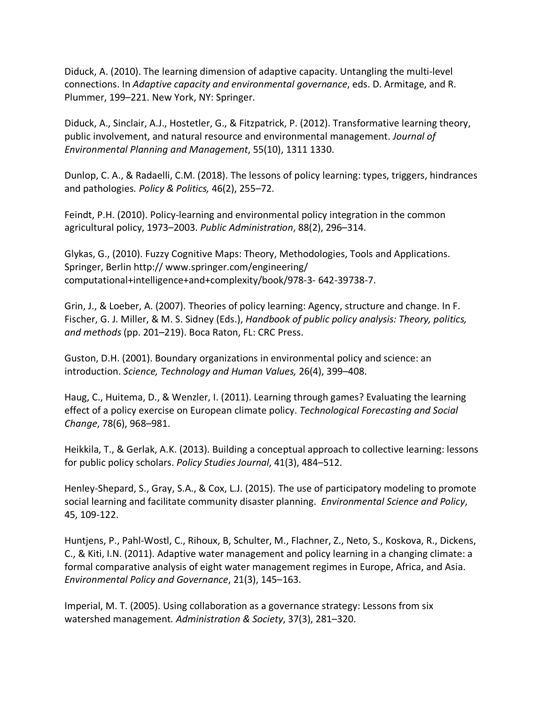Diduck, A. (2010). The learning dimension of adaptive capacity. Untangling the multi-level connections. In *Adaptive capacity and environmental governance*, eds. D. Armitage, and R. Plummer, 199–221. New York, NY: Springer.

Diduck, A., Sinclair, A.J., Hostetler, G., & Fitzpatrick, P. (2012). Transformative learning theory, public involvement, and natural resource and environmental management. *Journal of Environmental Planning and Management*, 55(10), 1311 1330.

Dunlop, C. A., & Radaelli, C.M. (2018). The lessons of policy learning: types, triggers, hindrances and pathologies*. Policy & Politics,* 46(2), 255–72.

Feindt, P.H. (2010). Policy-learning and environmental policy integration in the common agricultural policy, 1973–2003. *Public Administration*, 88(2), 296–314.

Glykas, G., (2010). Fuzzy Cognitive Maps: Theory, Methodologies, Tools and Applications. Springer, Berlin http:// www.springer.com/engineering/ computational+intelligence+and+complexity/book/978-3- 642-39738-7.

Grin, J., & Loeber, A. (2007). Theories of policy learning: Agency, structure and change. In F. Fischer, G. J. Miller, & M. S. Sidney (Eds.), *Handbook of public policy analysis: Theory, politics, and methods* (pp. 201–219). Boca Raton, FL: CRC Press.

Guston, D.H. (2001). Boundary organizations in environmental policy and science: an introduction. *Science, Technology and Human Values,* 26(4), 399–408.

Haug, C., Huitema, D., & Wenzler, I. (2011). Learning through games? Evaluating the learning effect of a policy exercise on European climate policy. *Technological Forecasting and Social Change*, 78(6), 968–981.

Heikkila, T., & Gerlak, A.K. (2013). Building a conceptual approach to collective learning: lessons for public policy scholars. *Policy Studies Journal*, 41(3), 484–512.

Henley-Shepard, S., Gray, S.A., & Cox, L.J. (2015). The use of participatory modeling to promote social learning and facilitate community disaster planning. *Environmental Science and Policy*, 45, 109-122.

Huntjens, P., Pahl-Wostl, C., Rihoux, B, Schulter, M., Flachner, Z., Neto, S., Koskova, R., Dickens, C., & Kiti, I.N. (2011). Adaptive water management and policy learning in a changing climate: a formal comparative analysis of eight water management regimes in Europe, Africa, and Asia. *Environmental Policy and Governance*, 21(3), 145–163.

Imperial, M. T. (2005). Using collaboration as a governance strategy: Lessons from six watershed management*. Administration & Society*, 37(3), 281–320.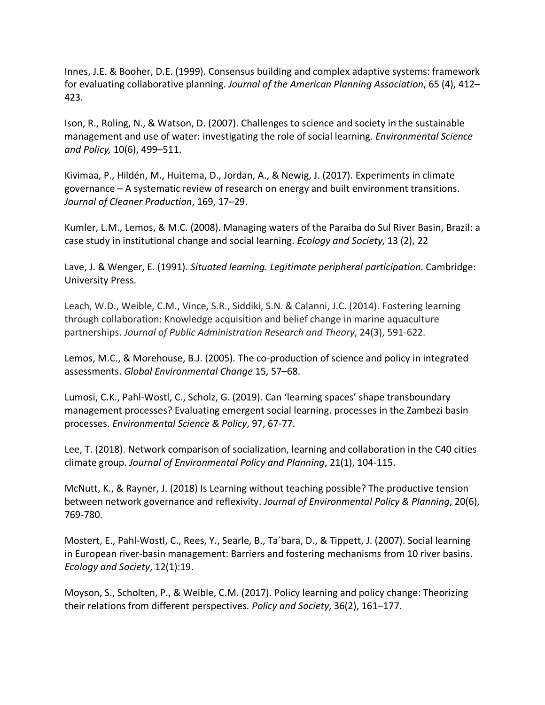Innes, J.E. & Booher, D.E. (1999). Consensus building and complex adaptive systems: framework for evaluating collaborative planning. *Journal of the American Planning Association*, 65 (4), 412– 423.

Ison, R., Roling, N., & Watson, D. (2007). Challenges to science and society in the sustainable management and use of water: investigating the role of social learning. *Environmental Science and Policy,* 10(6), 499–511.

Kivimaa, P., Hildén, M., Huitema, D., Jordan, A., & Newig, J. (2017). Experiments in climate governance – A systematic review of research on energy and built environment transitions. *Journal of Cleaner Production*, 169, 17–29.

Kumler, L.M., Lemos, & M.C. (2008). Managing waters of the Paraiba do Sul River Basin, Brazil: a case study in institutional change and social learning. *Ecology and Society*, 13 (2), 22

Lave, J. & Wenger, E. (1991). *Situated learning. Legitimate peripheral participation*. Cambridge: University Press.

Leach, W.D., Weible, C.M., Vince, S.R., Siddiki, S.N. & Calanni, J.C. (2014). Fostering learning through collaboration: Knowledge acquisition and belief change in marine aquaculture partnerships. *Journal of Public Administration Research and Theory*, 24(3), 591-622.

Lemos, M.C., & Morehouse, B.J. (2005). The co-production of science and policy in integrated assessments. *Global Environmental Change* 15, 57–68.

Lumosi, C.K., Pahl-Wostl, C., Scholz, G. (2019). Can 'learning spaces' shape transboundary management processes? Evaluating emergent social learning. processes in the Zambezi basin processes. *Environmental Science & Policy*, 97, 67-77.

Lee, T. (2018). Network comparison of socialization, learning and collaboration in the C40 cities climate group. *Journal of Environmental Policy and Planning*, 21(1), 104-115.

McNutt, K., & Rayner, J. (2018) Is Learning without teaching possible? The productive tension between network governance and reflexivity. *Journal of Environmental Policy & Planning*, 20(6), 769-780.

Mostert, E., Pahl-Wostl, C., Rees, Y., Searle, B., Ta`bara, D., & Tippett, J. (2007). Social learning in European river-basin management: Barriers and fostering mechanisms from 10 river basins. *Ecology and Society*, 12(1):19.

Moyson, S., Scholten, P., & Weible, C.M. (2017). Policy learning and policy change: Theorizing their relations from different perspectives*. Policy and Society*, 36(2), 161–177.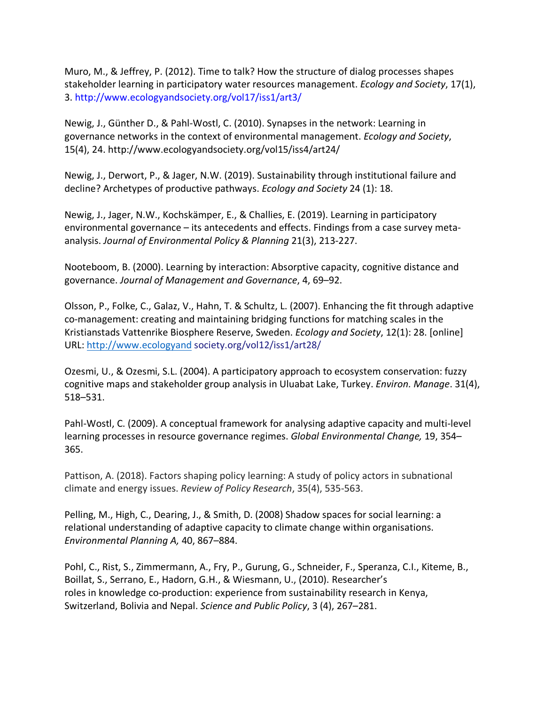Muro, M., & Jeffrey, P. (2012). Time to talk? How the structure of dialog processes shapes stakeholder learning in participatory water resources management. *Ecology and Society*, 17(1), 3. http://www.ecologyandsociety.org/vol17/iss1/art3/

Newig, J., Günther D., & Pahl-Wostl, C. (2010). Synapses in the network: Learning in governance networks in the context of environmental management. *Ecology and Society*, 15(4), 24. http://www.ecologyandsociety.org/vol15/iss4/art24/

Newig, J., Derwort, P., & Jager, N.W. (2019). Sustainability through institutional failure and decline? Archetypes of productive pathways. *Ecology and Society* 24 (1): 18.

Newig, J., Jager, N.W., Kochskämper, E., & Challies, E. (2019). Learning in participatory environmental governance – its antecedents and effects. Findings from a case survey metaanalysis. *Journal of Environmental Policy & Planning* 21(3), 213-227.

Nooteboom, B. (2000). Learning by interaction: Absorptive capacity, cognitive distance and governance. *Journal of Management and Governance*, 4, 69–92.

Olsson, P., Folke, C., Galaz, V., Hahn, T. & Schultz, L. (2007). Enhancing the fit through adaptive co-management: creating and maintaining bridging functions for matching scales in the Kristianstads Vattenrike Biosphere Reserve, Sweden. *Ecology and Society*, 12(1): 28. [online] URL: http://www.ecologyand society.org/vol12/iss1/art28/

Ozesmi, U., & Ozesmi, S.L. (2004). A participatory approach to ecosystem conservation: fuzzy cognitive maps and stakeholder group analysis in Uluabat Lake, Turkey. *Environ. Manage*. 31(4), 518–531.

Pahl-Wostl, C. (2009). A conceptual framework for analysing adaptive capacity and multi-level learning processes in resource governance regimes. *Global Environmental Change,* 19, 354– 365.

Pattison, A. (2018). Factors shaping policy learning: A study of policy actors in subnational climate and energy issues. *Review of Policy Research*, 35(4), 535-563.

Pelling, M., High, C., Dearing, J., & Smith, D. (2008) Shadow spaces for social learning: a relational understanding of adaptive capacity to climate change within organisations. *Environmental Planning A,* 40, 867–884.

Pohl, C., Rist, S., Zimmermann, A., Fry, P., Gurung, G., Schneider, F., Speranza, C.I., Kiteme, B., Boillat, S., Serrano, E., Hadorn, G.H., & Wiesmann, U., (2010). Researcher's roles in knowledge co-production: experience from sustainability research in Kenya, Switzerland, Bolivia and Nepal. *Science and Public Policy*, 3 (4), 267–281.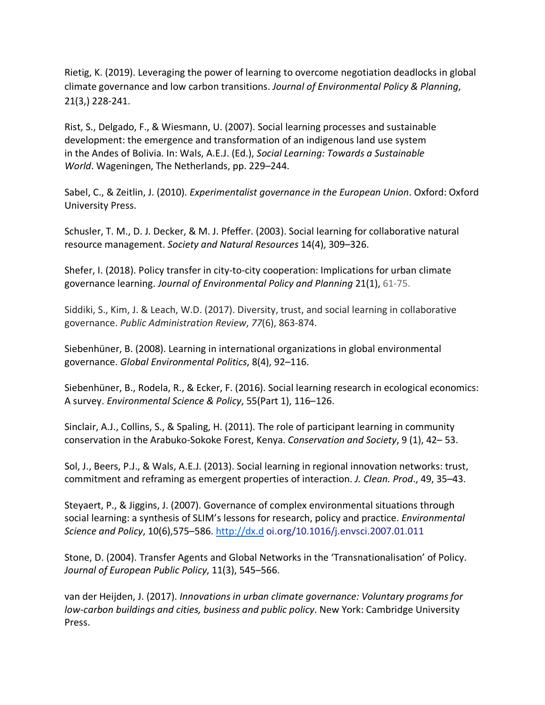Rietig, K. (2019). Leveraging the power of learning to overcome negotiation deadlocks in global climate governance and low carbon transitions. *Journal of Environmental Policy & Planning*, 21(3,) 228-241.

Rist, S., Delgado, F., & Wiesmann, U. (2007). Social learning processes and sustainable development: the emergence and transformation of an indigenous land use system in the Andes of Bolivia. In: Wals, A.E.J. (Ed.), *Social Learning: Towards a Sustainable World*. Wageningen, The Netherlands, pp. 229–244.

Sabel, C., & Zeitlin, J. (2010). *Experimentalist governance in the European Union*. Oxford: Oxford University Press.

Schusler, T. M., D. J. Decker, & M. J. Pfeffer. (2003). Social learning for collaborative natural resource management. *Society and Natural Resources* 14(4), 309–326.

Shefer, I. (2018). Policy transfer in city-to-city cooperation: Implications for urban climate governance learning. *Journal of Environmental Policy and Planning* 21(1), 61-75.

Siddiki, S., Kim, J. & Leach, W.D. (2017). Diversity, trust, and social learning in collaborative governance. *Public Administration Review*, *77*(6), 863-874.

Siebenhüner, B. (2008). Learning in international organizations in global environmental governance. *Global Environmental Politics*, 8(4), 92–116.

Siebenhüner, B., Rodela, R., & Ecker, F. (2016). Social learning research in ecological economics: A survey. *Environmental Science & Policy*, 55(Part 1), 116–126.

Sinclair, A.J., Collins, S., & Spaling, H. (2011). The role of participant learning in community conservation in the Arabuko-Sokoke Forest, Kenya. *Conservation and Society*, 9 (1), 42– 53.

Sol, J., Beers, P.J., & Wals, A.E.J. (2013). Social learning in regional innovation networks: trust, commitment and reframing as emergent properties of interaction. *J. Clean. Prod*., 49, 35–43.

Steyaert, P., & Jiggins, J. (2007). Governance of complex environmental situations through social learning: a synthesis of SLIM's lessons for research, policy and practice. *Environmental Science and Policy*, 10(6),575–586. http://dx.d oi.org/10.1016/j.envsci.2007.01.011

Stone, D. (2004). Transfer Agents and Global Networks in the 'Transnationalisation' of Policy. *Journal of European Public Policy*, 11(3), 545–566.

van der Heijden, J. (2017). *Innovations in urban climate governance: Voluntary programs for low-carbon buildings and cities, business and public policy*. New York: Cambridge University Press.